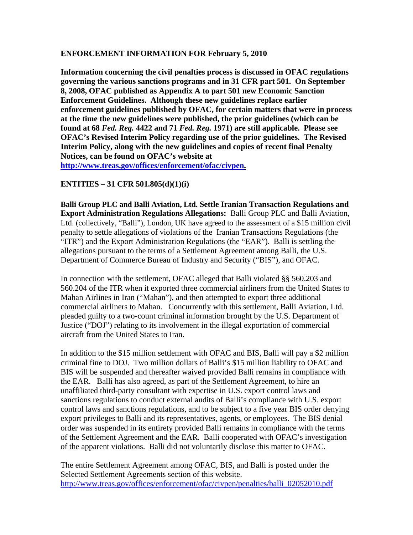## **ENFORCEMENT INFORMATION FOR February 5, 2010**

**Information concerning the civil penalties process is discussed in OFAC regulations governing the various sanctions programs and in 31 CFR part 501. On September 8, 2008, OFAC published as Appendix A to part 501 new Economic Sanction Enforcement Guidelines. Although these new guidelines replace earlier enforcement guidelines published by OFAC, for certain matters that were in process at the time the new guidelines were published, the prior guidelines (which can be found at 68** *Fed. Reg.* **4422 and 71** *Fed. Reg.* **1971) are still applicable. Please see OFAC's Revised Interim Policy regarding use of the prior guidelines. The Revised Interim Policy, along with the new guidelines and copies of recent final Penalty Notices, can be found on OFAC's website at** 

**[http://www.treas.gov/offices/enforcement/ofac/civpen.](http://www.treas.gov/offices/enforcement/ofac/civpen)**

**ENTITIES – 31 CFR 501.805(d)(1)(i)** 

**Balli Group PLC and Balli Aviation, Ltd. Settle Iranian Transaction Regulations and Export Administration Regulations Allegations:** Balli Group PLC and Balli Aviation, Ltd. (collectively, "Balli"), London, UK have agreed to the assessment of a \$15 million civil penalty to settle allegations of violations of the Iranian Transactions Regulations (the "ITR") and the Export Administration Regulations (the "EAR"). Balli is settling the allegations pursuant to the terms of a Settlement Agreement among Balli, the U.S. Department of Commerce Bureau of Industry and Security ("BIS"), and OFAC.

In connection with the settlement, OFAC alleged that Balli violated §§ 560.203 and 560.204 of the ITR when it exported three commercial airliners from the United States to Mahan Airlines in Iran ("Mahan"), and then attempted to export three additional commercial airliners to Mahan. Concurrently with this settlement, Balli Aviation, Ltd. pleaded guilty to a two-count criminal information brought by the U.S. Department of Justice ("DOJ") relating to its involvement in the illegal exportation of commercial aircraft from the United States to Iran.

In addition to the \$15 million settlement with OFAC and BIS, Balli will pay a \$2 million criminal fine to DOJ. Two million dollars of Balli's \$15 million liability to OFAC and BIS will be suspended and thereafter waived provided Balli remains in compliance with the EAR. Balli has also agreed, as part of the Settlement Agreement, to hire an unaffiliated third-party consultant with expertise in U.S. export control laws and sanctions regulations to conduct external audits of Balli's compliance with U.S. export control laws and sanctions regulations, and to be subject to a five year BIS order denying export privileges to Balli and its representatives, agents, or employees. The BIS denial order was suspended in its entirety provided Balli remains in compliance with the terms of the Settlement Agreement and the EAR. Balli cooperated with OFAC's investigation of the apparent violations. Balli did not voluntarily disclose this matter to OFAC.

The entire Settlement Agreement among OFAC, BIS, and Balli is posted under the Selected Settlement Agreements section of this website. [http://www.treas.gov/offices/enforcement/ofac/civpen/penalties/balli\\_02052010.pdf](http://www.treas.gov/offices/enforcement/ofac/civpen/penalties/balli_02052010.pdf)